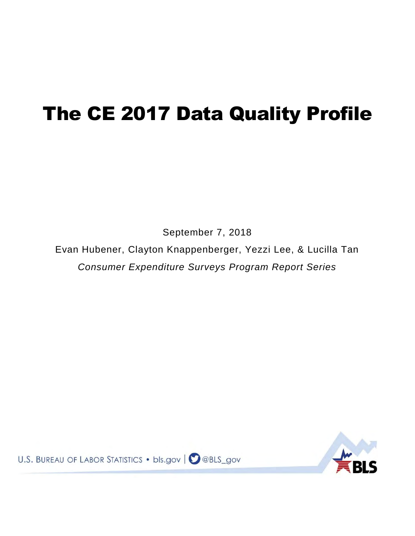# The CE 2017 Data Quality Profile

September 7, 2018

Evan Hubener, Clayton Knappenberger, Yezzi Lee, & Lucilla Tan *Consumer Expenditure Surveys Program Report Series* 



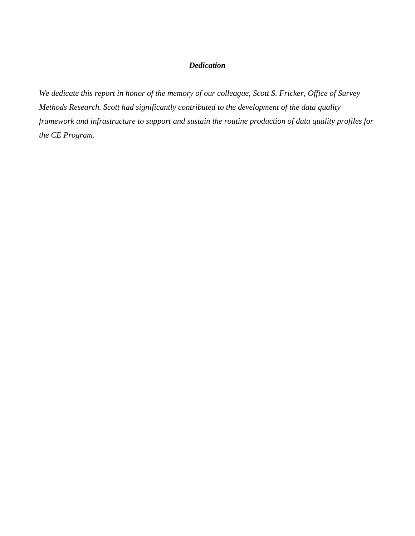## *Dedication*

*We dedicate this report in honor of the memory of our colleague, Scott S. Fricker, Office of Survey Methods Research. Scott had significantly contributed to the development of the data quality framework and infrastructure to support and sustain the routine production of data quality profiles for the CE Program.*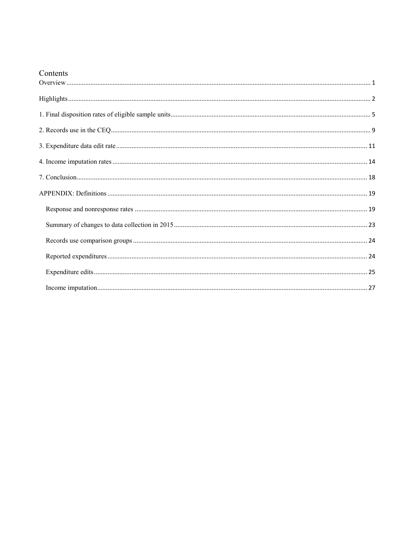# Contents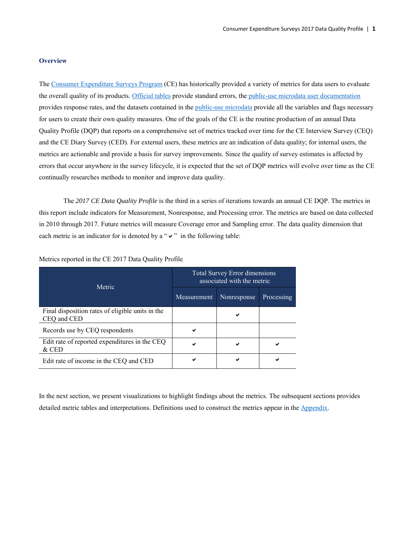## <span id="page-3-0"></span>**Overview**

Th[e Consumer Expenditure Surveys Program](https://www.bls.gov/opub/hom/cex/home.htm) (CE) has historically provided a variety of metrics for data users to evaluate the overall quality of its products. [Official tables](https://www.bls.gov/cex/tables.htm) provide standard errors, the [public-use microdata user documentation](https://www.bls.gov/cex/pumd_doc.htm) provides response rates, and the datasets contained in the [public-use microdata](https://www.bls.gov/cex/pumd_data.htm) provide all the variables and flags necessary for users to create their own quality measures. One of the goals of the CE is the routine production of an annual Data Quality Profile (DQP) that reports on a comprehensive set of metrics tracked over time for the CE Interview Survey (CEQ) and the CE Diary Survey (CED). For external users, these metrics are an indication of data quality; for internal users, the metrics are actionable and provide a basis for survey improvements. Since the quality of survey estimates is affected by errors that occur anywhere in the survey lifecycle, it is expected that the set of DQP metrics will evolve over time as the CE continually researches methods to monitor and improve data quality.

 The *2017 CE Data Quality Profile* is the third in a series of iterations towards an annual CE DQP. The metrics in this report include indicators for Measurement, Nonresponse, and Processing error. The metrics are based on data collected in 2010 through 2017. Future metrics will measure Coverage error and Sampling error. The data quality dimension that each metric is an indicator for is denoted by a " $\vee$ " in the following table:

| Metric                                                          | <b>Total Survey Error dimensions</b><br>associated with the metric |             |            |  |
|-----------------------------------------------------------------|--------------------------------------------------------------------|-------------|------------|--|
|                                                                 | Measurement                                                        | Nonresponse | Processing |  |
| Final disposition rates of eligible units in the<br>CEQ and CED |                                                                    | ✔           |            |  |
| Records use by CEQ respondents                                  | ✔                                                                  |             |            |  |
| Edit rate of reported expenditures in the CEQ<br>$&$ CED        | ✔                                                                  |             |            |  |
| Edit rate of income in the CEQ and CED                          |                                                                    | ✔           |            |  |

Metrics reported in the CE 2017 Data Quality Profile

In the next section, we present visualizations to highlight findings about the metrics. The subsequent sections provides detailed metric tables and interpretations. Definitions used to construct the metrics appear in the [Appendix.](#page-21-0)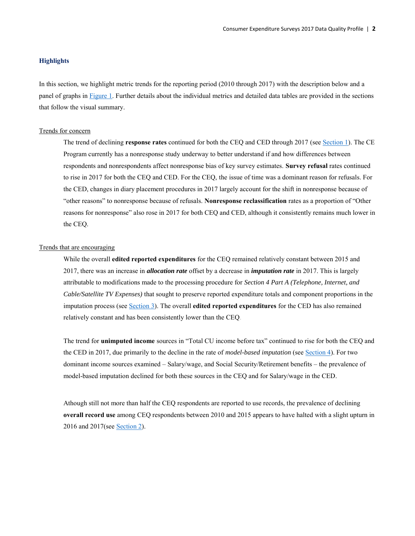## <span id="page-4-0"></span>**Highlights**

In this section, we highlight metric trends for the reporting period (2010 through 2017) with the description below and a panel of graphs in [Figure 1.](#page-5-0) Further details about the individual metrics and detailed data tables are provided in the sections that follow the visual summary.

#### Trends for concern

The trend of declining **response rates** continued for both the CEQ and CED through 2017 (see [Section 1\)](#page-7-0). The CE Program currently has a nonresponse study underway to better understand if and how differences between respondents and nonrespondents affect nonresponse bias of key survey estimates. **Survey refusal** rates continued to rise in 2017 for both the CEQ and CED. For the CEQ, the issue of time was a dominant reason for refusals. For the CED, changes in diary placement procedures in 2017 largely account for the shift in nonresponse because of "other reasons" to nonresponse because of refusals. **Nonresponse reclassification** rates as a proportion of "Other reasons for nonresponse" also rose in 2017 for both CEQ and CED, although it consistently remains much lower in the CEQ.

## Trends that are encouraging

While the overall **edited reported expenditures** for the CEQ remained relatively constant between 2015 and 2017, there was an increase in *allocation rate* offset by a decrease in *imputation rate* in 2017. This is largely attributable to modifications made to the processing procedure for *Section 4 Part A (Telephone, Internet, and Cable/Satellite TV Expenses)* that sought to preserve reported expenditure totals and component proportions in the imputation process (see [Section 3\)](#page-13-0). The overall **edited reported expenditures** for the CED has also remained relatively constant and has been consistently lower than the CEQ.

The trend for **[unimputed income](#page-16-0)** sources in "Total CU income before tax" continued to rise for both the CEQ and the CED in 2017, due primarily to the decline in the rate of *model-based imputation* (se[e Section 4\)](#page-16-0). For two dominant income sources examined – Salary/wage, and Social Security/Retirement benefits – the prevalence of model-based imputation declined for both these sources in the CEQ and for Salary/wage in the CED.

Athough still not more than half the CEQ respondents are reported to use records, the prevalence of declining **[overall record use](#page-11-0)** among CEQ respondents between 2010 and 2015 appears to have halted with a slight upturn in 2016 and 2017(se[e Section 2\)](#page-11-0).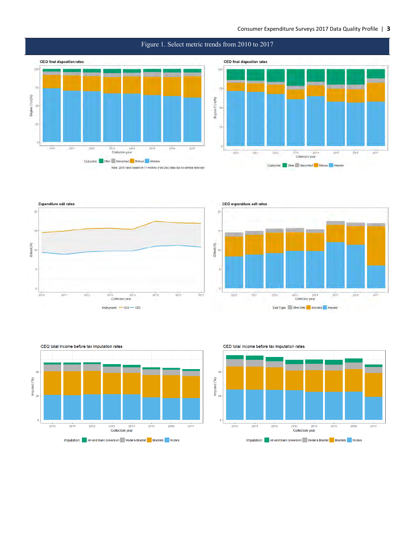## Consumer Expenditure Surveys 2017 Data Quality Profile | **3**



## <span id="page-5-0"></span>Figure 1. Select metric trends from 2010 to 2017









CED total income before tax imputation rates

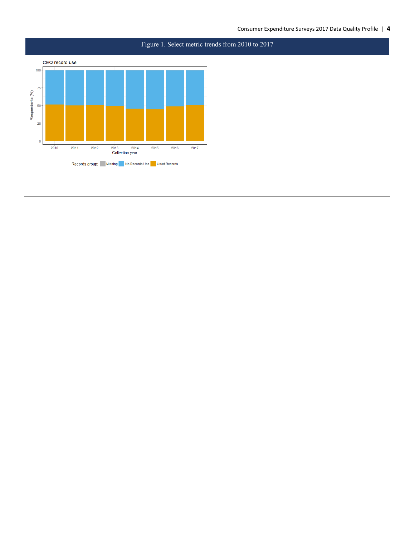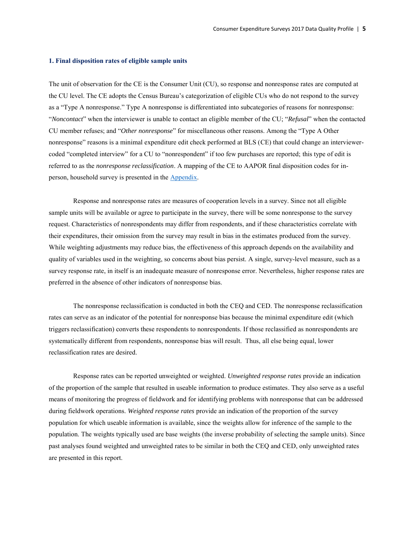#### <span id="page-7-0"></span>**1. Final disposition rates of eligible sample units**

The unit of observation for the CE is the Consumer Unit (CU), so response and nonresponse rates are computed at the CU level. The CE adopts the Census Bureau's categorization of eligible CUs who do not respond to the survey as a "Type A nonresponse." Type A nonresponse is differentiated into subcategories of reasons for nonresponse: "*Noncontact*" when the interviewer is unable to contact an eligible member of the CU; "*Refusal*" when the contacted CU member refuses; and "*Other nonresponse*" for miscellaneous other reasons. Among the "Type A Other nonresponse" reasons is a minimal expenditure edit check performed at BLS (CE) that could change an interviewercoded "completed interview" for a CU to "nonrespondent" if too few purchases are reported; this type of edit is referred to as the *nonresponse reclassification*. A mapping of the CE to AAPOR final disposition codes for inperson, household survey is presented in the [Appendix.](#page-21-2)

Response and nonresponse rates are measures of cooperation levels in a survey. Since not all eligible sample units will be available or agree to participate in the survey, there will be some nonresponse to the survey request. Characteristics of nonrespondents may differ from respondents, and if these characteristics correlate with their expenditures, their omission from the survey may result in bias in the estimates produced from the survey. While weighting adjustments may reduce bias, the effectiveness of this approach depends on the availability and quality of variables used in the weighting, so concerns about bias persist. A single, survey-level measure, such as a survey response rate, in itself is an inadequate measure of nonresponse error. Nevertheless, higher response rates are preferred in the absence of other indicators of nonresponse bias.

The nonresponse reclassification is conducted in both the CEQ and CED. The nonresponse reclassification rates can serve as an indicator of the potential for nonresponse bias because the minimal expenditure edit (which triggers reclassification) converts these respondents to nonrespondents. If those reclassified as nonrespondents are systematically different from respondents, nonresponse bias will result. Thus, all else being equal, lower reclassification rates are desired.

Response rates can be reported unweighted or weighted. *Unweighted response rates* provide an indication of the proportion of the sample that resulted in useable information to produce estimates. They also serve as a useful means of monitoring the progress of fieldwork and for identifying problems with nonresponse that can be addressed during fieldwork operations. *Weighted response rates* provide an indication of the proportion of the survey population for which useable information is available, since the weights allow for inference of the sample to the population. The weights typically used are base weights (the inverse probability of selecting the sample units). Since past analyses found weighted and unweighted rates to be similar in both the CEQ and CED, only unweighted rates are presented in this report.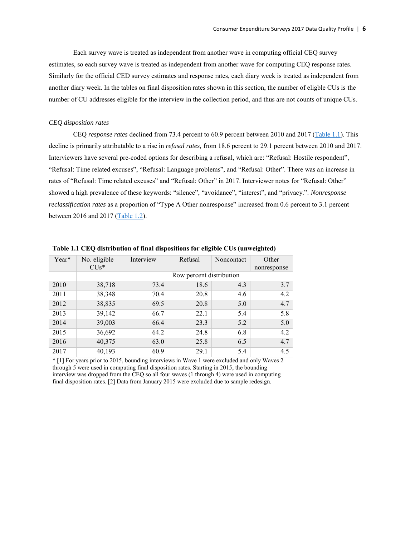Each survey wave is treated as independent from another wave in computing official CEQ survey estimates, so each survey wave is treated as independent from another wave for computing CEQ response rates. Similarly for the official CED survey estimates and response rates, each diary week is treated as independent from another diary week. In the tables on final disposition rates shown in this section, the number of eligble CUs is the number of CU addresses eligible for the interview in the collection period, and thus are not counts of unique CUs.

## *CEQ disposition rates*

CEQ *response rates* declined from 73.4 percent to 60.9 percent between 2010 and 2017 [\(Table 1.1\)](#page-8-0). This decline is primarily attributable to a rise in *refusal rates,* from 18.6 percent to 29.1 percent between 2010 and 2017. Interviewers have several pre-coded options for describing a refusal, which are: "Refusal: Hostile respondent", "Refusal: Time related excuses", "Refusal: Language problems", and "Refusal: Other". There was an increase in rates of "Refusal: Time related excuses" and "Refusal: Other" in 2017. Interviewer notes for "Refusal: Other" showed a high prevalence of these keywords: "silence", "avoidance", "interest", and "privacy.". *Nonresponse reclassification rates* as a proportion of "Type A Other nonresponse" increased from 0.6 percent to 3.1 percent between 2016 and 2017 [\(Table 1.2\)](#page-9-0).

| Year* | No. eligible<br>$CIJs*$ | Interview | Refusal                  | Noncontact | Other<br>nonresponse |
|-------|-------------------------|-----------|--------------------------|------------|----------------------|
|       |                         |           | Row percent distribution |            |                      |
| 2010  | 38,718                  | 73.4      | 18.6                     | 4.3        | 3.7                  |
| 2011  | 38,348                  | 70.4      | 20.8                     | 4.6        | 4.2                  |
| 2012  | 38,835                  | 69.5      | 20.8                     | 5.0        | 4.7                  |
| 2013  | 39,142                  | 66.7      | 22.1                     | 5.4        | 5.8                  |
| 2014  | 39,003                  | 66.4      | 23.3                     | 5.2        | 5.0                  |
| 2015  | 36,692                  | 64.2      | 24.8                     | 6.8        | 4.2                  |
| 2016  | 40,375                  | 63.0      | 25.8                     | 6.5        | 4.7                  |
| 2017  | 40,193                  | 60.9      | 29.1                     | 5.4        | 4.5                  |

<span id="page-8-0"></span>**Table 1.1 CEQ distribution of final dispositions for eligible CUs (unweighted)** 

\* [1] For years prior to 2015, bounding interviews in Wave 1 were excluded and only Waves 2 through 5 were used in computing final disposition rates. Starting in 2015, the bounding interview was dropped from the CEQ so all four waves (1 through 4) were used in computing final disposition rates. [2] Data from January 2015 were excluded due to sample redesign.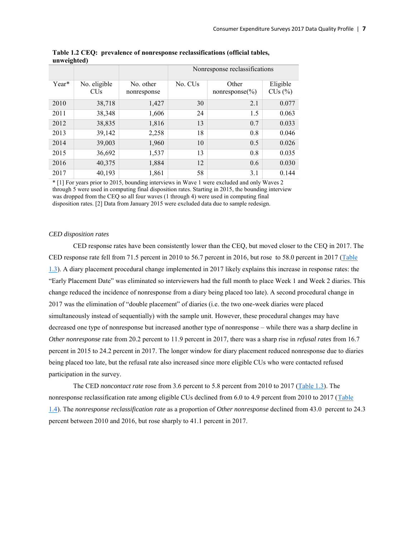| $\tilde{\phantom{a}}$ |                                       |                          | Nonresponse reclassifications |                              |                          |  |
|-----------------------|---------------------------------------|--------------------------|-------------------------------|------------------------------|--------------------------|--|
| Year*                 | No. eligible<br><b>CU<sub>s</sub></b> | No. other<br>nonresponse | No. CU <sub>s</sub>           | Other<br>nonresponse $(\% )$ | Eligible<br>$CUs$ $(\%)$ |  |
| 2010                  | 38,718                                | 1,427                    | 30                            | 2.1                          | 0.077                    |  |
| 2011                  | 38,348                                | 1,606                    | 24                            | 1.5                          | 0.063                    |  |
| 2012                  | 38,835                                | 1,816                    | 13                            | 0.7                          | 0.033                    |  |
| 2013                  | 39,142                                | 2,258                    | 18                            | 0.8                          | 0.046                    |  |
| 2014                  | 39,003                                | 1,960                    | 10                            | 0.5                          | 0.026                    |  |
| 2015                  | 36,692                                | 1,537                    | 13                            | 0.8                          | 0.035                    |  |
| 2016                  | 40,375                                | 1,884                    | 12                            | 0.6                          | 0.030                    |  |
| 2017                  | 40,193                                | 1,861                    | 58                            | 3.1                          | 0.144                    |  |

<span id="page-9-0"></span>**Table 1.2 CEQ: prevalence of nonresponse reclassifications (official tables, unweighted)**

\* [1] For years prior to 2015, bounding interviews in Wave 1 were excluded and only Waves 2 through 5 were used in computing final disposition rates. Starting in 2015, the bounding interview was dropped from the CEQ so all four waves (1 through 4) were used in computing final disposition rates. [2] Data from January 2015 were excluded data due to sample redesign.

## *CED disposition rates*

CED response rates have been consistently lower than the CEQ, but moved closer to the CEQ in 2017. The CED response rate fell from 71.5 percent in 2010 to 56.7 percent in 2016, but rose to 58.0 percent in 2017 [\(Table](#page-10-0)  [1.3\)](#page-10-0). A diary placement procedural change implemented in 2017 likely explains this increase in response rates: the "Early Placement Date" was eliminated so interviewers had the full month to place Week 1 and Week 2 diaries. This change reduced the incidence of nonresponse from a diary being placed too late). A second procedural change in 2017 was the elimination of "double placement" of diaries (i.e. the two one-week diaries were placed simultaneously instead of sequentially) with the sample unit. However, these procedural changes may have decreased one type of nonresponse but increased another type of nonresponse – while there was a sharp decline in *Other nonresponse* rate from 20.2 percent to 11.9 percent in 2017, there was a sharp rise in *refusal rates* from 16.7 percent in 2015 to 24.2 percent in 2017. The longer window for diary placement reduced nonresponse due to diaries being placed too late, but the refusal rate also increased since more eligible CUs who were contacted refused participation in the survey.

The CED *noncontact rate* rose from 3.6 percent to 5.8 percent from 2010 to 2017 [\(Table 1.3\)](#page-10-0). The nonresponse reclassification rate among eligible CUs declined from 6.0 to 4.9 percent from 2010 to 2017 (Table [1.4\)](#page-10-1). The *nonresponse reclassification rate* as a proportion of *Other nonresponse* declined from 43.0 percent to 24.3 percent between 2010 and 2016, but rose sharply to 41.1 percent in 2017.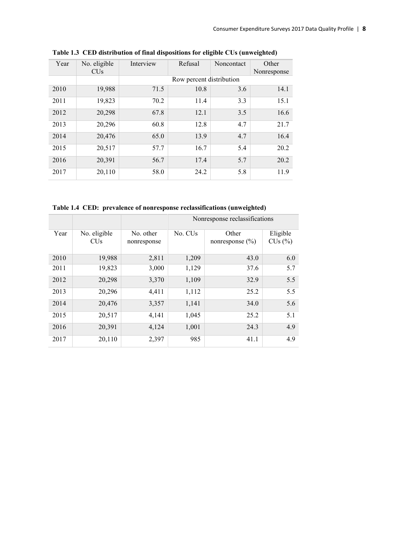| Year | No. eligible<br><b>CU<sub>s</sub></b> | Interview | Refusal                  | Noncontact | Other<br>Nonresponse |
|------|---------------------------------------|-----------|--------------------------|------------|----------------------|
|      |                                       |           | Row percent distribution |            |                      |
| 2010 | 19,988                                | 71.5      | 10.8                     | 3.6        | 14.1                 |
| 2011 | 19,823                                | 70.2      | 11.4                     | 3.3        | 15.1                 |
| 2012 | 20,298                                | 67.8      | 12.1                     | 3.5        | 16.6                 |
| 2013 | 20,296                                | 60.8      | 12.8                     | 4.7        | 21.7                 |
| 2014 | 20,476                                | 65.0      | 13.9                     | 4.7        | 16.4                 |
| 2015 | 20,517                                | 57.7      | 16.7                     | 5.4        | 20.2                 |
| 2016 | 20,391                                | 56.7      | 17.4                     | 5.7        | 20.2                 |
| 2017 | 20,110                                | 58.0      | 24.2                     | 5.8        | 11.9                 |

<span id="page-10-0"></span>**Table 1.3 CED distribution of final dispositions for eligible CUs (unweighted)**

<span id="page-10-1"></span>**Table 1.4 CED: prevalence of nonresponse reclassifications (unweighted)**

 $\overline{\phantom{a}}$ 

 $\mathbb{R}$ 

|      |                                       |                          | Nonresponse reclassifications |                              |                          |  |
|------|---------------------------------------|--------------------------|-------------------------------|------------------------------|--------------------------|--|
| Year | No. eligible<br><b>CU<sub>s</sub></b> | No. other<br>nonresponse | No. CU <sub>s</sub>           | Other<br>nonresponse $(\% )$ | Eligible<br>$CUs$ $(\%)$ |  |
| 2010 | 19,988                                | 2,811                    | 1,209                         | 43.0                         | 6.0                      |  |
| 2011 | 19,823                                | 3,000                    | 1,129                         | 37.6                         | 5.7                      |  |
| 2012 | 20,298                                | 3,370                    | 1,109                         | 32.9                         | 5.5                      |  |
| 2013 | 20,296                                | 4,411                    | 1,112                         | 25.2                         | 5.5                      |  |
| 2014 | 20,476                                | 3,357                    | 1,141                         | 34.0                         | 5.6                      |  |
| 2015 | 20,517                                | 4,141                    | 1,045                         | 25.2                         | 5.1                      |  |
| 2016 | 20,391                                | 4,124                    | 1,001                         | 24.3                         | 4.9                      |  |
| 2017 | 20,110                                | 2,397                    | 985                           | 41.1                         | 4.9                      |  |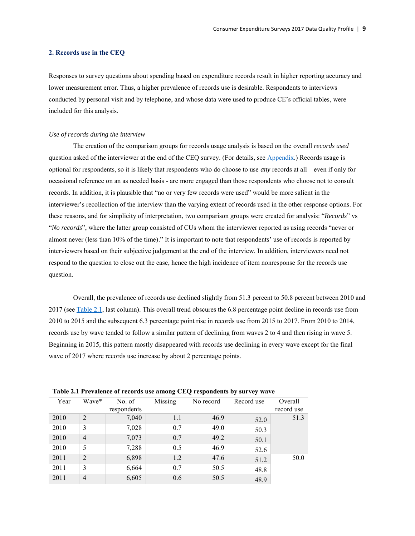## <span id="page-11-0"></span>**2. Records use in the CEQ**

Responses to survey questions about spending based on expenditure records result in higher reporting accuracy and lower measurement error. Thus, a higher prevalence of records use is desirable. Respondents to interviews conducted by personal visit and by telephone, and whose data were used to produce CE's official tables, were included for this analysis.

## *Use of records during the interview*

The creation of the comparison groups for records usage analysis is based on the overall *records used* question asked of the interviewer at the end of the CEQ survey. (For details, see [Appendix.](#page-26-0)) Records usage is optional for respondents, so it is likely that respondents who do choose to use *any* records at all – even if only for occasional reference on an as needed basis - are more engaged than those respondents who choose not to consult records. In addition, it is plausible that "no or very few records were used" would be more salient in the interviewer's recollection of the interview than the varying extent of records used in the other response options. For these reasons, and for simplicity of interpretation, two comparison groups were created for analysis: "*Records*" vs "*No records*", where the latter group consisted of CUs whom the interviewer reported as using records "never or almost never (less than 10% of the time)." It is important to note that respondents' use of records is reported by interviewers based on their subjective judgement at the end of the interview. In addition, interviewers need not respond to the question to close out the case, hence the high incidence of item nonresponse for the records use question.

Overall, the prevalence of records use declined slightly from 51.3 percent to 50.8 percent between 2010 and 2017 (see [Table 2.1,](#page-11-1) last column). This overall trend obscures the 6.8 percentage point decline in records use from 2010 to 2015 and the subsequent 6.3 percentage point rise in records use from 2015 to 2017. From 2010 to 2014, records use by wave tended to follow a similar pattern of declining from waves 2 to 4 and then rising in wave 5. Beginning in 2015, this pattern mostly disappeared with records use declining in every wave except for the final wave of 2017 where records use increase by about 2 percentage points.

| Year | Wave*          | No. of      | Missing | No record | Record use | Overall    |
|------|----------------|-------------|---------|-----------|------------|------------|
|      |                | respondents |         |           |            | record use |
| 2010 | $\overline{2}$ | 7,040       | 1.1     | 46.9      | 52.0       | 51.3       |
| 2010 | 3              | 7,028       | 0.7     | 49.0      | 50.3       |            |
| 2010 | $\overline{4}$ | 7,073       | 0.7     | 49.2      | 50.1       |            |
| 2010 | 5              | 7,288       | 0.5     | 46.9      | 52.6       |            |
| 2011 | $\overline{2}$ | 6,898       | 1.2     | 47.6      | 51.2       | 50.0       |
| 2011 | 3              | 6,664       | 0.7     | 50.5      | 48.8       |            |
| 2011 | $\overline{4}$ | 6,605       | 0.6     | 50.5      | 48.9       |            |

<span id="page-11-1"></span>**Table 2.1 Prevalence of records use among CEQ respondents by survey wave**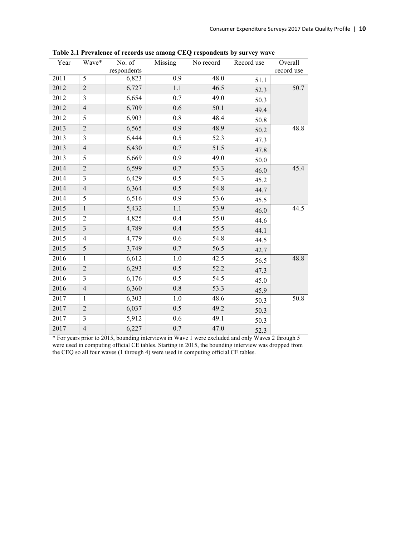| Year | Wave*                    | No. of<br>respondents | Missing | No record | Record use | Overall<br>record use |
|------|--------------------------|-----------------------|---------|-----------|------------|-----------------------|
| 2011 | $\overline{5}$           | 6,823                 | 0.9     | 48.0      | 51.1       |                       |
| 2012 | $\overline{2}$           | 6,727                 | 1.1     | 46.5      | 52.3       | 50.7                  |
| 2012 | 3                        | 6,654                 | 0.7     | 49.0      | 50.3       |                       |
| 2012 | $\overline{4}$           | 6,709                 | 0.6     | 50.1      | 49.4       |                       |
| 2012 | 5                        | 6,903                 | 0.8     | 48.4      | 50.8       |                       |
| 2013 | $\overline{2}$           | 6,565                 | 0.9     | 48.9      | 50.2       | 48.8                  |
| 2013 | 3                        | 6,444                 | 0.5     | 52.3      | 47.3       |                       |
| 2013 | $\overline{4}$           | 6,430                 | 0.7     | 51.5      | 47.8       |                       |
| 2013 | 5                        | 6,669                 | 0.9     | 49.0      | 50.0       |                       |
| 2014 | $\overline{c}$           | 6,599                 | 0.7     | 53.3      | 46.0       | 45.4                  |
| 2014 | 3                        | 6,429                 | 0.5     | 54.3      | 45.2       |                       |
| 2014 | $\overline{4}$           | 6,364                 | 0.5     | 54.8      | 44.7       |                       |
| 2014 | 5                        | 6,516                 | 0.9     | 53.6      | 45.5       |                       |
| 2015 | $\mathbf{1}$             | 5,432                 | 1.1     | 53.9      | 46.0       | 44.5                  |
| 2015 | $\overline{2}$           | 4,825                 | 0.4     | 55.0      | 44.6       |                       |
| 2015 | 3                        | 4,789                 | 0.4     | 55.5      | 44.1       |                       |
| 2015 | 4                        | 4,779                 | 0.6     | 54.8      | 44.5       |                       |
| 2015 | 5                        | 3,749                 | 0.7     | 56.5      | 42.7       |                       |
| 2016 | $\mathbf{1}$             | 6,612                 | 1.0     | 42.5      | 56.5       | 48.8                  |
| 2016 | $\overline{c}$           | 6,293                 | 0.5     | 52.2      | 47.3       |                       |
| 2016 | 3                        | 6,176                 | 0.5     | 54.5      | 45.0       |                       |
| 2016 | $\overline{4}$           | 6,360                 | 0.8     | 53.3      | 45.9       |                       |
| 2017 | 1                        | 6,303                 | 1.0     | 48.6      | 50.3       | 50.8                  |
| 2017 | $\overline{2}$           | 6,037                 | 0.5     | 49.2      | 50.3       |                       |
| 2017 | 3                        | 5,912                 | 0.6     | 49.1      | 50.3       |                       |
| 2017 | $\overline{\mathcal{L}}$ | 6,227                 | 0.7     | 47.0      | 52.3       |                       |

**Table 2.1 Prevalence of records use among CEQ respondents by survey wave**

\* For years prior to 2015, bounding interviews in Wave 1 were excluded and only Waves 2 through 5 were used in computing official CE tables. Starting in 2015, the bounding interview was dropped from the CEQ so all four waves (1 through 4) were used in computing official CE tables.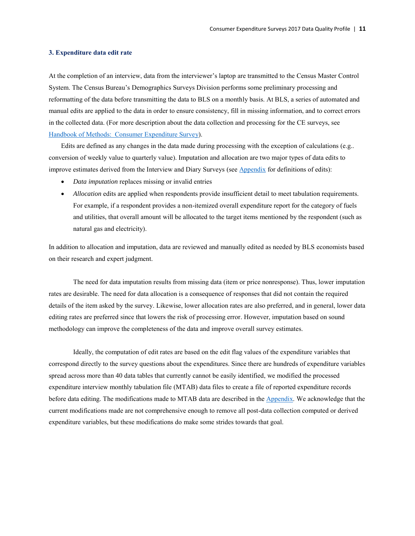## <span id="page-13-0"></span>**3. Expenditure data edit rate**

At the completion of an interview, data from the interviewer's laptop are transmitted to the Census Master Control System. The Census Bureau's Demographics Surveys Division performs some preliminary processing and reformatting of the data before transmitting the data to BLS on a monthly basis. At BLS, a series of automated and manual edits are applied to the data in order to ensure consistency, fill in missing information, and to correct errors in the collected data. (For more description about the data collection and processing for the CE surveys, see [Handbook of Methods: Consumer Expenditure Survey\)](https://www.bls.gov/opub/hom/cex/pdf/cex.pdf).

Edits are defined as any changes in the data made during processing with the exception of calculations (e.g.. conversion of weekly value to quarterly value). Imputation and allocation are two major types of data edits to improve estimates derived from the Interview and Diary Surveys (see [Appendix f](#page-27-0)or definitions of edits):

- *Data imputation* replaces missing or invalid entries
- *Allocation* edits are applied when respondents provide insufficient detail to meet tabulation requirements. For example, if a respondent provides a non-itemized overall expenditure report for the category of fuels and utilities, that overall amount will be allocated to the target items mentioned by the respondent (such as natural gas and electricity).

In addition to allocation and imputation, data are reviewed and manually edited as needed by BLS economists based on their research and expert judgment.

The need for data imputation results from missing data (item or price nonresponse). Thus, lower imputation rates are desirable. The need for data allocation is a consequence of responses that did not contain the required details of the item asked by the survey. Likewise, lower allocation rates are also preferred, and in general, lower data editing rates are preferred since that lowers the risk of processing error. However, imputation based on sound methodology can improve the completeness of the data and improve overall survey estimates.

 Ideally, the computation of edit rates are based on the edit flag values of the expenditure variables that correspond directly to the survey questions about the expenditures. Since there are hundreds of expenditure variables spread across more than 40 data tables that currently cannot be easily identified, we modified the processed expenditure interview monthly tabulation file (MTAB) data files to create a file of reported expenditure records before data editing. The modifications made to MTAB data are described in the [Appendix.](#page-26-1) We acknowledge that the current modifications made are not comprehensive enough to remove all post-data collection computed or derived expenditure variables, but these modifications do make some strides towards that goal.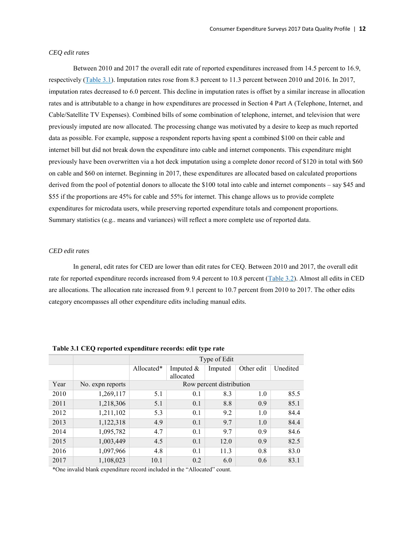## *CEQ edit rates*

Between 2010 and 2017 the overall edit rate of reported expenditures increased from 14.5 percent to 16.9, respectively [\(Table 3.1\)](#page-14-0). Imputation rates rose from 8.3 percent to 11.3 percent between 2010 and 2016. In 2017, imputation rates decreased to 6.0 percent. This decline in imputation rates is offset by a similar increase in allocation rates and is attributable to a change in how expenditures are processed in Section 4 Part A (Telephone, Internet, and Cable/Satellite TV Expenses). Combined bills of some combination of telephone, internet, and television that were previously imputed are now allocated. The processing change was motivated by a desire to keep as much reported data as possible. For example, suppose a respondent reports having spent a combined \$100 on their cable and internet bill but did not break down the expenditure into cable and internet components. This expenditure might previously have been overwritten via a hot deck imputation using a complete donor record of \$120 in total with \$60 on cable and \$60 on internet. Beginning in 2017, these expenditures are allocated based on calculated proportions derived from the pool of potential donors to allocate the \$100 total into cable and internet components – say \$45 and \$55 if the proportions are 45% for cable and 55% for internet. This change allows us to provide complete expenditures for microdata users, while preserving reported expenditure totals and component proportions. Summary statistics (e.g.. means and variances) will reflect a more complete use of reported data.

## *CED edit rates*

In general, edit rates for CED are lower than edit rates for CEQ. Between 2010 and 2017, the overall edit rate for reported expenditure records increased from 9.4 percent to 10.8 percent [\(Table 3.2\)](#page-15-0). Almost all edits in CED are allocations. The allocation rate increased from 9.1 percent to 10.7 percent from 2010 to 2017. The other edits category encompasses all other expenditure edits including manual edits.

|      |                  |            | Type of Edit |                          |            |          |  |  |
|------|------------------|------------|--------------|--------------------------|------------|----------|--|--|
|      |                  | Allocated* | Imputed $&$  | Imputed                  | Other edit | Unedited |  |  |
|      |                  |            | allocated    |                          |            |          |  |  |
| Year | No. expn reports |            |              | Row percent distribution |            |          |  |  |
| 2010 | 1,269,117        | 5.1        | 0.1          | 8.3                      | 1.0        | 85.5     |  |  |
| 2011 | 1,218,306        | 5.1        | 0.1          | 8.8                      | 0.9        | 85.1     |  |  |
| 2012 | 1,211,102        | 5.3        | 0.1          | 9.2                      | 1.0        | 84.4     |  |  |
| 2013 | 1,122,318        | 4.9        | 0.1          | 9.7                      | 1.0        | 84.4     |  |  |
| 2014 | 1,095,782        | 4.7        | 0.1          | 9.7                      | 0.9        | 84.6     |  |  |
| 2015 | 1,003,449        | 4.5        | 0.1          | 12.0                     | 0.9        | 82.5     |  |  |
| 2016 | 1,097,966        | 4.8        | 0.1          | 11.3                     | 0.8        | 83.0     |  |  |
| 2017 | 1,108,023        | 10.1       | 0.2          | 6.0                      | 0.6        | 83.1     |  |  |

<span id="page-14-0"></span>**Table 3.1 CEQ reported expenditure records: edit type rate**

\*One invalid blank expenditure record included in the "Allocated" count.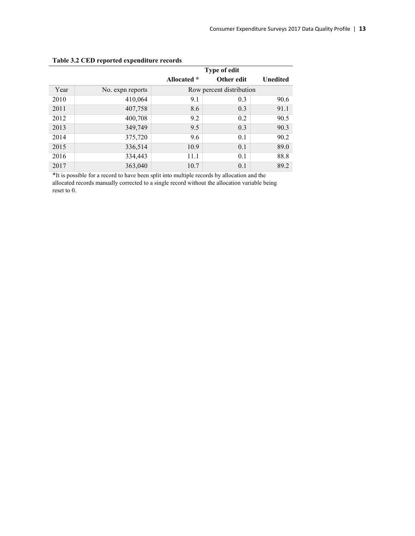|      |                  |             | Type of edit             |                 |
|------|------------------|-------------|--------------------------|-----------------|
|      |                  | Allocated * | Other edit               | <b>Unedited</b> |
| Year | No. expn reports |             | Row percent distribution |                 |
| 2010 | 410,064          | 9.1         | 0.3                      | 90.6            |
| 2011 | 407,758          | 8.6         | 0.3                      | 91.1            |
| 2012 | 400,708          | 9.2         | 0.2                      | 90.5            |
| 2013 | 349,749          | 9.5         | 0.3                      | 90.3            |
| 2014 | 375,720          | 9.6         | 0.1                      | 90.2            |
| 2015 | 336,514          | 10.9        | 0.1                      | 89.0            |
| 2016 | 334,443          | 11.1        | 0.1                      | 88.8            |
| 2017 | 363,040          | 10.7        | 0.1                      | 89.2            |

# <span id="page-15-0"></span>**Table 3.2 CED reported expenditure records**

\*It is possible for a record to have been split into multiple records by allocation and the allocated records manually corrected to a single record without the allocation variable being reset to 0.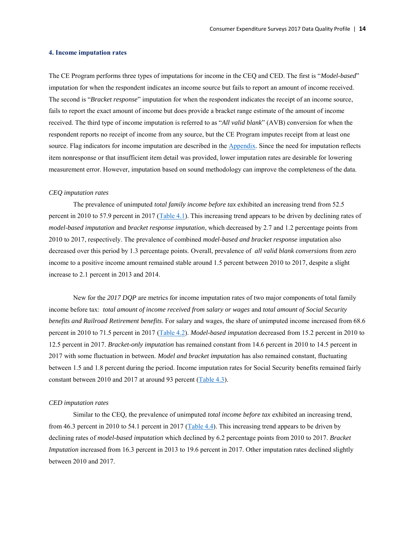## <span id="page-16-0"></span>**4. Income imputation rates**

The CE Program performs three types of imputations for income in the CEQ and CED. The first is "*Model-based*" imputation for when the respondent indicates an income source but fails to report an amount of income received. The second is "*Bracket response*" imputation for when the respondent indicates the receipt of an income source, fails to report the exact amount of income but does provide a bracket range estimate of the amount of income received. The third type of income imputation is referred to as "*All valid blank*" (AVB) conversion for when the respondent reports no receipt of income from any source, but the CE Program imputes receipt from at least one source. Flag indicators for income imputation are described in the [Appendix.](#page-29-1) Since the need for imputation reflects item nonresponse or that insufficient item detail was provided, lower imputation rates are desirable for lowering measurement error. However, imputation based on sound methodology can improve the completeness of the data.

#### *CEQ imputation rates*

The prevalence of unimputed *total family income before tax* exhibited an increasing trend from 52.5 percent in 2010 to 57.9 percent in 2017 [\(Table 4.1\)](#page-18-0). This increasing trend appears to be driven by declining rates of *model-based imputation* and *bracket response imputation*, which decreased by 2.7 and 1.2 percentage points from 2010 to 2017, respectively. The prevalence of combined *model-based and bracket response* imputation also decreased over this period by 1.3 percentage points. Overall, prevalence of *all valid blank conversions* from zero income to a positive income amount remained stable around 1.5 percent between 2010 to 2017, despite a slight increase to 2.1 percent in 2013 and 2014.

 New for the *2017 DQP* are metrics for income imputation rates of two major components of total family income before tax: *total amount of income received from salary or wages* and *total amount of Social Security benefits and Railroad Retirement benefits*. For salary and wages, the share of unimputed income increased from 68.6 percent in 2010 to 71.5 percent in 2017 [\(Table 4.2\)](#page-18-1). *Model-based imputation* decreased from 15.2 percent in 2010 to 12.5 percent in 2017. *Bracket-only imputation* has remained constant from 14.6 percent in 2010 to 14.5 percent in 2017 with some fluctuation in between. *Model and bracket imputation* has also remained constant, fluctuating between 1.5 and 1.8 percent during the period. Income imputation rates for Social Security benefits remained fairly constant between 2010 and 2017 at around 93 percent [\(Table 4.3\)](#page-18-2).

## *CED imputation rates*

 Similar to the CEQ, the prevalence of unimputed *total income before tax* exhibited an increasing trend, from 46.3 percent in 2010 to 54.1 percent in 2017 [\(Table 4.4\)](#page-19-0). This increasing trend appears to be driven by declining rates of *model-based imputation* which declined by 6.2 percentage points from 2010 to 2017. *Bracket Imputation* increased from 16.3 percent in 2013 to 19.6 percent in 2017. Other imputation rates declined slightly between 2010 and 2017.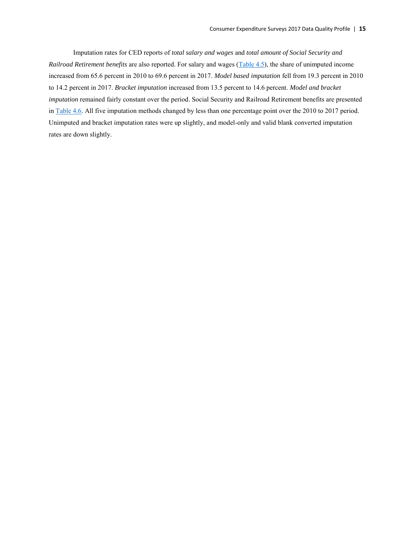Imputation rates for CED reports of *total salary and wages* and *total amount of Social Security and Railroad Retirement benefits* are also reported. For salary and wages [\(Table 4.5\)](#page-19-1), the share of unimputed income increased from 65.6 percent in 2010 to 69.6 percent in 2017. *Model based imputation* fell from 19.3 percent in 2010 to 14.2 percent in 2017. *Bracket imputation* increased from 13.5 percent to 14.6 percent. *Model and bracket imputation* remained fairly constant over the period. Social Security and Railroad Retirement benefits are presented in [Table 4.6.](#page-19-2) All five imputation methods changed by less than one percentage point over the 2010 to 2017 period. Unimputed and bracket imputation rates were up slightly, and model-only and valid blank converted imputation rates are down slightly.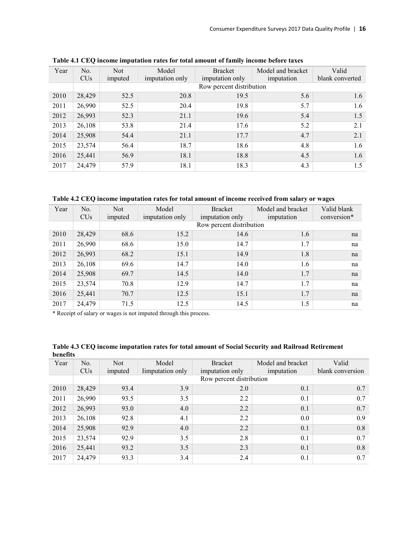| Year | No.             | <b>Not</b> | Model           | <b>Bracket</b>           | Model and bracket | Valid           |
|------|-----------------|------------|-----------------|--------------------------|-------------------|-----------------|
|      | CU <sub>s</sub> | imputed    | imputation only | imputation only          | imputation        | blank converted |
|      |                 |            |                 | Row percent distribution |                   |                 |
| 2010 | 28,429          | 52.5       | 20.8            | 19.5                     | 5.6               | 1.6             |
| 2011 | 26,990          | 52.5       | 20.4            | 19.8                     | 5.7               | 1.6             |
| 2012 | 26,993          | 52.3       | 21.1            | 19.6                     | 5.4               | 1.5             |
| 2013 | 26,108          | 53.8       | 21.4            | 17.6                     | 5.2               | 2.1             |
| 2014 | 25,908          | 54.4       | 21.1            | 17.7                     | 4.7               | 2.1             |
| 2015 | 23,574          | 56.4       | 18.7            | 18.6                     | 4.8               | 1.6             |
| 2016 | 25,441          | 56.9       | 18.1            | 18.8                     | 4.5               | 1.6             |
| 2017 | 24,479          | 57.9       | 18.1            | 18.3                     | 4.3               | 1.5             |

<span id="page-18-0"></span>**Table 4.1 CEQ income imputation rates for total amount of family income before taxes**

<span id="page-18-1"></span>**Table 4.2 CEQ income imputation rates for total amount of income received from salary or wages**

| Year | N <sub>0</sub>        | <b>Not</b> | Model           | <b>Bracket</b>           | Model and bracket | Valid blank |
|------|-----------------------|------------|-----------------|--------------------------|-------------------|-------------|
|      | <b>CU<sub>s</sub></b> | imputed    | imputation only | imputation only          | imputation        | conversion* |
|      |                       |            |                 | Row percent distribution |                   |             |
| 2010 | 28,429                | 68.6       | 15.2            | 14.6                     | 1.6               | na          |
| 2011 | 26,990                | 68.6       | 15.0            | 14.7                     | 1.7               | na          |
| 2012 | 26,993                | 68.2       | 15.1            | 14.9                     | 1.8               | na          |
| 2013 | 26,108                | 69.6       | 14.7            | 14.0                     | 1.6               | na          |
| 2014 | 25,908                | 69.7       | 14.5            | 14.0                     | 1.7               | na          |
| 2015 | 23,574                | 70.8       | 12.9            | 14.7                     | 1.7               | na          |
| 2016 | 25,441                | 70.7       | 12.5            | 15.1                     | 1.7               | na          |
| 2017 | 24,479                | 71.5       | 12.5            | 14.5                     | 1.5               | na          |

\* Receipt of salary or wages is not imputed through this process.

| vuus |                 |            |                 |                          |                   |                  |
|------|-----------------|------------|-----------------|--------------------------|-------------------|------------------|
| Year | No.             | <b>Not</b> | Model           | <b>Bracket</b>           | Model and bracket | Valid            |
|      | CU <sub>s</sub> | imputed    | Imputation only | imputation only          | imputation        | blank conversion |
|      |                 |            |                 | Row percent distribution |                   |                  |
| 2010 | 28,429          | 93.4       | 3.9             | 2.0                      | 0.1               | 0.7              |
| 2011 | 26,990          | 93.5       | 3.5             | 2.2                      | 0.1               | 0.7              |
| 2012 | 26,993          | 93.0       | 4.0             | 2.2                      | 0.1               | 0.7              |
| 2013 | 26,108          | 92.8       | 4.1             | 2.2                      | $0.0\,$           | 0.9              |
| 2014 | 25,908          | 92.9       | 4.0             | 2.2                      | 0.1               | 0.8              |
| 2015 | 23,574          | 92.9       | 3.5             | 2.8                      | 0.1               | 0.7              |
| 2016 | 25,441          | 93.2       | 3.5             | 2.3                      | 0.1               | 0.8              |
| 2017 | 24,479          | 93.3       | 3.4             | 2.4                      | 0.1               | 0.7              |

<span id="page-18-2"></span>**Table 4.3 CEQ income imputation rates for total amount of Social Security and Railroad Retirement benefits**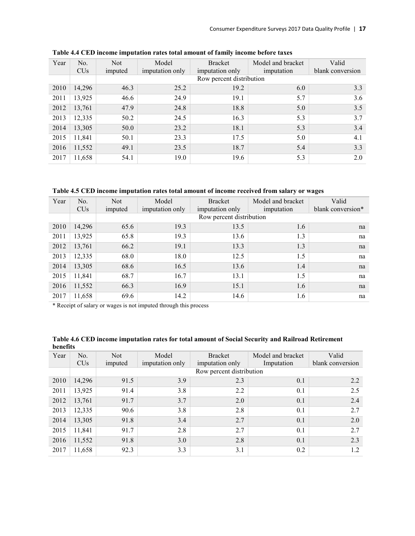| Year | No.<br><b>CU<sub>s</sub></b> | <b>Not</b><br>imputed | Model<br>imputation only | <b>Bracket</b><br>imputation only | Model and bracket<br>imputation | Valid<br>blank conversion |
|------|------------------------------|-----------------------|--------------------------|-----------------------------------|---------------------------------|---------------------------|
|      |                              |                       |                          | Row percent distribution          |                                 |                           |
| 2010 | 14,296                       | 46.3                  | 25.2                     | 19.2                              | 6.0                             | 3.3                       |
| 2011 | 13,925                       | 46.6                  | 24.9                     | 19.1                              | 5.7                             | 3.6                       |
| 2012 | 13,761                       | 47.9                  | 24.8                     | 18.8                              | 5.0                             | 3.5                       |
| 2013 | 12,335                       | 50.2                  | 24.5                     | 16.3                              | 5.3                             | 3.7                       |
| 2014 | 13,305                       | 50.0                  | 23.2                     | 18.1                              | 5.3                             | 3.4                       |
| 2015 | 11,841                       | 50.1                  | 23.3                     | 17.5                              | 5.0                             | 4.1                       |
| 2016 | 11,552                       | 49.1                  | 23.5                     | 18.7                              | 5.4                             | 3.3                       |
| 2017 | 11,658                       | 54.1                  | 19.0                     | 19.6                              | 5.3                             | 2.0                       |

<span id="page-19-0"></span>**Table 4.4 CED income imputation rates total amount of family income before taxes**

<span id="page-19-1"></span>**Table 4.5 CED income imputation rates total amount of income received from salary or wages**

| Year | N <sub>o</sub><br>CU <sub>s</sub> | <b>Not</b><br>imputed | Model<br>imputation only | <b>Bracket</b><br>imputation only | Model and bracket<br>imputation | Valid<br>blank conversion* |
|------|-----------------------------------|-----------------------|--------------------------|-----------------------------------|---------------------------------|----------------------------|
|      |                                   |                       |                          | Row percent distribution          |                                 |                            |
| 2010 | 14,296                            | 65.6                  | 19.3                     | 13.5                              | 1.6                             | na                         |
| 2011 | 13,925                            | 65.8                  | 19.3                     | 13.6                              | 1.3                             | na                         |
| 2012 | 13,761                            | 66.2                  | 19.1                     | 13.3                              | 1.3                             | na                         |
| 2013 | 12,335                            | 68.0                  | 18.0                     | 12.5                              | 1.5                             | na                         |
| 2014 | 13,305                            | 68.6                  | 16.5                     | 13.6                              | 1.4                             | na                         |
| 2015 | 11,841                            | 68.7                  | 16.7                     | 13.1                              | 1.5                             | na                         |
| 2016 | 11,552                            | 66.3                  | 16.9                     | 15.1                              | 1.6                             | na                         |
| 2017 | 11,658                            | 69.6                  | 14.2                     | 14.6                              | 1.6                             | na                         |

\* Receipt of salary or wages is not imputed through this process

| Denems |                 |            |                 |                          |                   |                  |
|--------|-----------------|------------|-----------------|--------------------------|-------------------|------------------|
| Year   | No.             | <b>Not</b> | Model           | <b>Bracket</b>           | Model and bracket | Valid            |
|        | CU <sub>s</sub> | imputed    | imputation only | imputation only          | Imputation        | blank conversion |
|        |                 |            |                 | Row percent distribution |                   |                  |
| 2010   | 14,296          | 91.5       | 3.9             | 2.3                      | 0.1               | 2.2              |
| 2011   | 13,925          | 91.4       | 3.8             | 2.2                      | 0.1               | 2.5              |
| 2012   | 13,761          | 91.7       | 3.7             | 2.0                      | 0.1               | 2.4              |
| 2013   | 12,335          | 90.6       | 3.8             | 2.8                      | 0.1               | 2.7              |
| 2014   | 13,305          | 91.8       | 3.4             | 2.7                      | 0.1               | 2.0              |
| 2015   | 11,841          | 91.7       | 2.8             | 2.7                      | 0.1               | 2.7              |
| 2016   | 11,552          | 91.8       | 3.0             | 2.8                      | 0.1               | 2.3              |
| 2017   | 11,658          | 92.3       | 3.3             | 3.1                      | 0.2               | 1.2              |
|        |                 |            |                 |                          |                   |                  |

<span id="page-19-2"></span>**Table 4.6 CED income imputation rates for total amount of Social Security and Railroad Retirement benefits**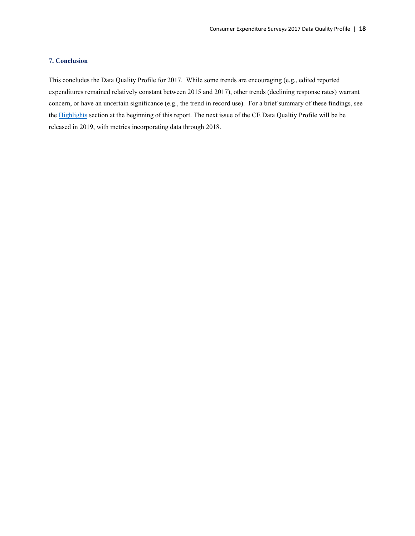## <span id="page-20-0"></span>**7. Conclusion**

This concludes the Data Quality Profile for 2017. While some trends are encouraging (e.g., edited reported expenditures remained relatively constant between 2015 and 2017), other trends (declining response rates) warrant concern, or have an uncertain significance (e.g., the trend in record use). For a brief summary of these findings, see th[e Highlights](#page-4-0) section at the beginning of this report. The next issue of the CE Data Qualtiy Profile will be be released in 2019, with metrics incorporating data through 2018.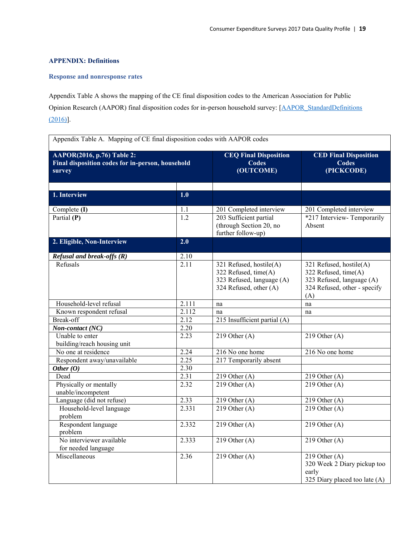## <span id="page-21-0"></span>**APPENDIX: Definitions**

## <span id="page-21-1"></span>**Response and nonresponse rates**

<span id="page-21-2"></span>Appendix Table A shows the mapping of the CE final disposition codes to the American Association for Public Opinion Research (AAPOR) final disposition codes for in-person household survey: [\[AAPOR\\_StandardDefinitions](https://www.aapor.org/AAPOR_Main/media/publications/Standard-Definitions20169theditionfinal.pdf)  [\(2016\)\]](https://www.aapor.org/AAPOR_Main/media/publications/Standard-Definitions20169theditionfinal.pdf).

| AAPOR(2016, p.76) Table 2:<br>Final disposition codes for in-person, household<br>survey |                   | <b>CEQ Final Disposition</b><br><b>Codes</b><br>(OUTCOME)                                              | <b>CED Final Disposition</b><br><b>Codes</b><br>(PICKCODE)                                                          |
|------------------------------------------------------------------------------------------|-------------------|--------------------------------------------------------------------------------------------------------|---------------------------------------------------------------------------------------------------------------------|
| 1. Interview                                                                             | 1.0               |                                                                                                        |                                                                                                                     |
| Complete (I)                                                                             | 1.1               | 201 Completed interview                                                                                | 201 Completed interview                                                                                             |
| Partial (P)                                                                              | $\overline{1.2}$  | 203 Sufficient partial<br>(through Section 20, no<br>further follow-up)                                | *217 Interview-Temporarily<br>Absent                                                                                |
| 2. Eligible, Non-Interview                                                               | 2.0               |                                                                                                        |                                                                                                                     |
| Refusal and break-offs (R)                                                               | 2.10              |                                                                                                        |                                                                                                                     |
| Refusals                                                                                 | $\overline{2.11}$ | 321 Refused, hostile(A)<br>322 Refused, time(A)<br>323 Refused, language (A)<br>324 Refused, other (A) | 321 Refused, hostile(A)<br>322 Refused, time(A)<br>323 Refused, language (A)<br>324 Refused, other - specify<br>(A) |
| Household-level refusal                                                                  | 2.111             | na                                                                                                     | na                                                                                                                  |
| Known respondent refusal                                                                 | 2.112             | na                                                                                                     | na                                                                                                                  |
| <b>Break-off</b>                                                                         | 2.12              | 215 Insufficient partial (A)                                                                           |                                                                                                                     |
| Non-contact (NC)                                                                         | 2.20              |                                                                                                        |                                                                                                                     |
| Unable to enter<br>building/reach housing unit                                           | 2.23              | 219 Other $(A)$                                                                                        | 219 Other $(A)$                                                                                                     |
| No one at residence                                                                      | 2.24              | 216 No one home                                                                                        | 216 No one home                                                                                                     |
| Respondent away/unavailable                                                              | 2.25              | 217 Temporarily absent                                                                                 |                                                                                                                     |
| Other $(0)$                                                                              | 2.30              |                                                                                                        |                                                                                                                     |
| Dead                                                                                     | $\overline{2.31}$ | $219$ Other (A)                                                                                        | $219$ Other (A)                                                                                                     |
| Physically or mentally<br>unable/incompetent                                             | 2.32              | 219 Other $(A)$                                                                                        | $219$ Other (A)                                                                                                     |
| Language (did not refuse)                                                                | 2.33              | 219 Other $(A)$                                                                                        | 219 Other $(A)$                                                                                                     |
| Household-level language<br>problem                                                      | 2.331             | 219 Other $(A)$                                                                                        | 219 Other $(A)$                                                                                                     |
| Respondent language<br>problem                                                           | 2.332             | 219 Other $(A)$                                                                                        | 219 Other $(A)$                                                                                                     |
| No interviewer available<br>for needed language                                          | 2.333             | 219 Other $(A)$                                                                                        | 219 Other $(A)$                                                                                                     |
| Miscellaneous                                                                            | 2.36              | 219 Other $(A)$                                                                                        | 219 Other $(A)$<br>320 Week 2 Diary pickup too<br>early<br>325 Diary placed too late (A)                            |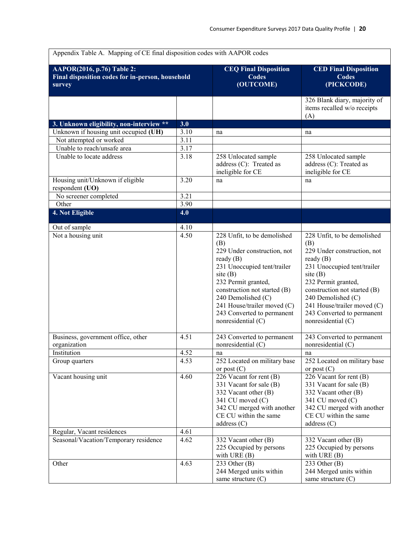| <b>AAPOR(2016, p.76)</b> Table 2:                          |                   | <b>CEQ Final Disposition</b>                                                                                                                                                                                                                                                                  | <b>CED Final Disposition</b>                                                                                                                                                                                                                                                               |
|------------------------------------------------------------|-------------------|-----------------------------------------------------------------------------------------------------------------------------------------------------------------------------------------------------------------------------------------------------------------------------------------------|--------------------------------------------------------------------------------------------------------------------------------------------------------------------------------------------------------------------------------------------------------------------------------------------|
| Final disposition codes for in-person, household<br>survey |                   | <b>Codes</b><br>(OUTCOME)                                                                                                                                                                                                                                                                     | <b>Codes</b><br>(PICKCODE)                                                                                                                                                                                                                                                                 |
|                                                            |                   |                                                                                                                                                                                                                                                                                               | 326 Blank diary, majority of<br>items recalled w/o receipts<br>(A)                                                                                                                                                                                                                         |
| 3. Unknown eligibility, non-interview **                   | 3.0               |                                                                                                                                                                                                                                                                                               |                                                                                                                                                                                                                                                                                            |
| Unknown if housing unit occupied (UH)                      | 3.10              | na                                                                                                                                                                                                                                                                                            | na                                                                                                                                                                                                                                                                                         |
| Not attempted or worked                                    | 3.11              |                                                                                                                                                                                                                                                                                               |                                                                                                                                                                                                                                                                                            |
| Unable to reach/unsafe area                                | $\overline{3.17}$ |                                                                                                                                                                                                                                                                                               |                                                                                                                                                                                                                                                                                            |
| Unable to locate address                                   | 3.18              | 258 Unlocated sample<br>address (C): Treated as<br>ineligible for CE                                                                                                                                                                                                                          | 258 Unlocated sample<br>address (C): Treated as<br>ineligible for CE                                                                                                                                                                                                                       |
| Housing unit/Unknown if eligible<br>respondent (UO)        | 3.20              | na                                                                                                                                                                                                                                                                                            | na                                                                                                                                                                                                                                                                                         |
| No screener completed                                      | 3.21              |                                                                                                                                                                                                                                                                                               |                                                                                                                                                                                                                                                                                            |
| Other                                                      | $\overline{3.90}$ |                                                                                                                                                                                                                                                                                               |                                                                                                                                                                                                                                                                                            |
| 4. Not Eligible                                            | 4.0               |                                                                                                                                                                                                                                                                                               |                                                                                                                                                                                                                                                                                            |
| Out of sample                                              | 4.10              |                                                                                                                                                                                                                                                                                               |                                                                                                                                                                                                                                                                                            |
| Not a housing unit                                         | 4.50              | 228 Unfit, to be demolished<br>(B)<br>229 Under construction, not<br>ready $(B)$<br>231 Unoccupied tent/trailer<br>site $(B)$<br>232 Permit granted,<br>construction not started (B)<br>240 Demolished (C)<br>241 House/trailer moved (C)<br>243 Converted to permanent<br>nonresidential (C) | 228 Unfit, to be demolished<br>(B)<br>229 Under construction, not<br>ready $(B)$<br>231 Unoccupied tent/trailer<br>site(B)<br>232 Permit granted,<br>construction not started (B)<br>240 Demolished (C)<br>241 House/trailer moved (C)<br>243 Converted to permanent<br>nonresidential (C) |
| Business, government office, other<br>organization         | 4.51              | 243 Converted to permanent<br>nonresidential (C)                                                                                                                                                                                                                                              | 243 Converted to permanent<br>nonresidential (C)                                                                                                                                                                                                                                           |
| Institution                                                | 4.52              | na                                                                                                                                                                                                                                                                                            | na                                                                                                                                                                                                                                                                                         |
| Group quarters                                             | 4.53              | 252 Located on military base<br>or post $(C)$                                                                                                                                                                                                                                                 | 252 Located on military base<br>or post $(C)$                                                                                                                                                                                                                                              |
| Vacant housing unit                                        | 4.60              | 226 Vacant for rent (B)<br>331 Vacant for sale (B)<br>332 Vacant other (B)<br>341 CU moved (C)<br>342 CU merged with another<br>CE CU within the same<br>address(C)                                                                                                                           | 226 Vacant for rent (B)<br>331 Vacant for sale (B)<br>332 Vacant other (B)<br>341 CU moved (C)<br>342 CU merged with another<br>CE CU within the same<br>address $(C)$                                                                                                                     |
| Regular, Vacant residences                                 | 4.61              |                                                                                                                                                                                                                                                                                               |                                                                                                                                                                                                                                                                                            |
| Seasonal/Vacation/Temporary residence                      | 4.62              | 332 Vacant other (B)<br>225 Occupied by persons<br>with URE $(B)$                                                                                                                                                                                                                             | 332 Vacant other (B)<br>225 Occupied by persons<br>with URE $(B)$                                                                                                                                                                                                                          |
| Other                                                      | 4.63              | 233 Other $(B)$<br>244 Merged units within<br>same structure $(C)$                                                                                                                                                                                                                            | 233 Other $(B)$<br>244 Merged units within<br>same structure $(C)$                                                                                                                                                                                                                         |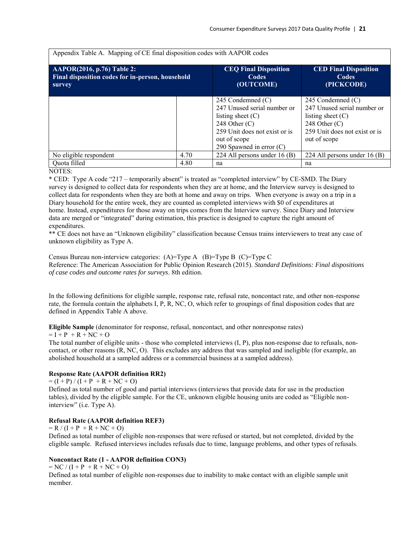| Appendix Table A. Mapping of CE final disposition codes with AAPOR codes                        |      |                                                                                                                                                                           |                                                                                                                                             |  |
|-------------------------------------------------------------------------------------------------|------|---------------------------------------------------------------------------------------------------------------------------------------------------------------------------|---------------------------------------------------------------------------------------------------------------------------------------------|--|
| <b>AAPOR(2016, p.76)</b> Table 2:<br>Final disposition codes for in-person, household<br>survey |      | <b>CEQ Final Disposition</b><br><b>Codes</b><br>(OUTCOME)                                                                                                                 | <b>CED Final Disposition</b><br>Codes<br>(PICKCODE)                                                                                         |  |
|                                                                                                 |      | 245 Condemned $(C)$<br>247 Unused serial number or<br>listing sheet $(C)$<br>248 Other $(C)$<br>259 Unit does not exist or is<br>out of scope<br>290 Spawned in error (C) | 245 Condemned (C)<br>247 Unused serial number or<br>listing sheet $(C)$<br>248 Other $(C)$<br>259 Unit does not exist or is<br>out of scope |  |
| No eligible respondent                                                                          | 4.70 | 224 All persons under 16 (B)                                                                                                                                              | 224 All persons under $16(B)$                                                                                                               |  |
| Quota filled                                                                                    | 4.80 | na                                                                                                                                                                        | na                                                                                                                                          |  |

NOTES:

\* CED: Type A code "217 – temporarily absent" is treated as "completed interview" by CE-SMD. The Diary survey is designed to collect data for respondents when they are at home, and the Interview survey is designed to collect data for respondents when they are both at home and away on trips. When everyone is away on a trip in a Diary household for the entire week, they are counted as completed interviews with \$0 of expenditures at home. Instead, expenditures for those away on trips comes from the Interview survey. Since Diary and Interview data are merged or "integrated" during estimation, this practice is designed to capture the right amount of expenditures.

\*\* CE does not have an "Unknown eligibility" classification because Census trains interviewers to treat any case of unknown eligibility as Type A.

Census Bureau non-interview categories: (A)=Type A (B)=Type B (C)=Type C Reference: The American Association for Public Opinion Research (2015). *Standard Definitions: Final dispositions of case codes and outcome rates for surveys*. 8th edition.

In the following definitions for eligible sample, response rate, refusal rate, noncontact rate, and other non-response rate, the formula contain the alphabets I, P, R, NC, O, which refer to groupings of final disposition codes that are defined in Appendix Table A above.

**Eligible Sample** (denominator for response, refusal, noncontact, and other nonresponse rates)

 $= I + P + R + NC + O$ 

The total number of eligible units - those who completed interviews (I, P), plus non-response due to refusals, noncontact, or other reasons (R, NC, O). This excludes any address that was sampled and ineligible (for example, an abolished household at a sampled address or a commercial business at a sampled address).

## **Response Rate (AAPOR definition RR2)**

 $= (I + P) / (I + P + R + NC + O)$ 

Defined as total number of good and partial interviews (interviews that provide data for use in the production tables), divided by the eligible sample. For the CE, unknown eligible housing units are coded as "Eligible noninterview" (i.e. Type A).

## **Refusal Rate (AAPOR definition REF3)**

 $= R / (I + P + R + NC + O)$ 

Defined as total number of eligible non-responses that were refused or started, but not completed, divided by the eligible sample. Refused interviews includes refusals due to time, language problems, and other types of refusals.

## **Noncontact Rate (1 - AAPOR definition CON3)**

 $= NC / (I + P + R + NC + O)$ 

Defined as total number of eligible non-responses due to inability to make contact with an eligible sample unit member.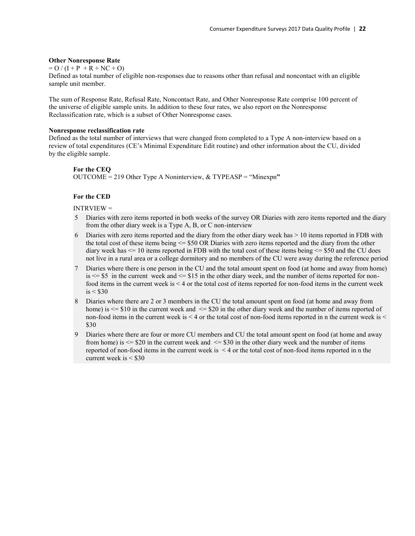#### **Other Nonresponse Rate**

 $=$  O  $/(I + P + R + NC + O)$ 

Defined as total number of eligible non-responses due to reasons other than refusal and noncontact with an eligible sample unit member.

The sum of Response Rate, Refusal Rate, Noncontact Rate, and Other Nonresponse Rate comprise 100 percent of the universe of eligible sample units. In addition to these four rates, we also report on the Nonresponse Reclassification rate, which is a subset of Other Nonresponse cases.

## **Nonresponse reclassification rate**

Defined as the total number of interviews that were changed from completed to a Type A non-interview based on a review of total expenditures (CE's Minimal Expenditure Edit routine) and other information about the CU, divided by the eligible sample.

#### **For the CEQ**

OUTCOME = 219 Other Type A Noninterview, & TYPEASP = "Minexpn**"**

## **For the CED**

INTRVIEW =

- 5 Diaries with zero items reported in both weeks of the survey OR Diaries with zero items reported and the diary from the other diary week is a Type A, B, or C non-interview
- 6 Diaries with zero items reported and the diary from the other diary week has > 10 items reported in FDB with the total cost of these items being <= \$50 OR Diaries with zero items reported and the diary from the other diary week has  $\leq$  10 items reported in FDB with the total cost of these items being  $\leq$  \$50 and the CU does not live in a rural area or a college dormitory and no members of the CU were away during the reference period
- 7 Diaries where there is one person in the CU and the total amount spent on food (at home and away from home)  $is \leq 55$  in the current week and  $\leq 15$  in the other diary week, and the number of items reported for nonfood items in the current week is < 4 or the total cost of items reported for non-food items in the current week  $is < $30$
- 8 Diaries where there are 2 or 3 members in the CU the total amount spent on food (at home and away from home) is  $\le$  \$10 in the current week and  $\le$  \$20 in the other diary week and the number of items reported of non-food items in the current week is < 4 or the total cost of non-food items reported in n the current week is < \$30
- 9 Diaries where there are four or more CU members and CU the total amount spent on food (at home and away from home) is  $\le$  \$20 in the current week and  $\le$  \$30 in the other diary week and the number of items reported of non-food items in the current week is < 4 or the total cost of non-food items reported in n the current week is  $\leq$  \$30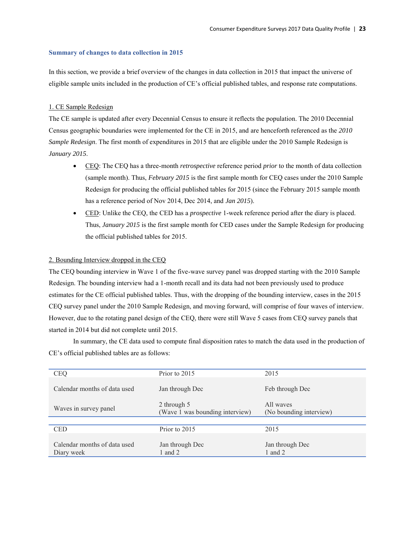## <span id="page-25-0"></span>**Summary of changes to data collection in 2015**

In this section, we provide a brief overview of the changes in data collection in 2015 that impact the universe of eligible sample units included in the production of CE's official published tables, and response rate computations.

## 1. CE Sample Redesign

The CE sample is updated after every Decennial Census to ensure it reflects the population. The 2010 Decennial Census geographic boundaries were implemented for the CE in 2015, and are henceforth referenced as the *2010 Sample Redesign*. The first month of expenditures in 2015 that are eligible under the 2010 Sample Redesign is *January 2015*.

- CEQ: The CEQ has a three-month *retrospective* reference period *prior* to the month of data collection (sample month). Thus, *February 2015* is the first sample month for CEQ cases under the 2010 Sample Redesign for producing the official published tables for 2015 (since the February 2015 sample month has a reference period of Nov 2014, Dec 2014, and *Jan 2015*).
- CED: Unlike the CEQ, the CED has a *prospective* 1-week reference period after the diary is placed. Thus, *January 2015* is the first sample month for CED cases under the Sample Redesign for producing the official published tables for 2015.

## 2. Bounding Interview dropped in the CEQ

The CEQ bounding interview in Wave 1 of the five-wave survey panel was dropped starting with the 2010 Sample Redesign. The bounding interview had a 1-month recall and its data had not been previously used to produce estimates for the CE official published tables. Thus, with the dropping of the bounding interview, cases in the 2015 CEQ survey panel under the 2010 Sample Redesign, and moving forward, will comprise of four waves of interview. However, due to the rotating panel design of the CEQ, there were still Wave 5 cases from CEQ survey panels that started in 2014 but did not complete until 2015.

In summary, the CE data used to compute final disposition rates to match the data used in the production of CE's official published tables are as follows:

| <b>CEQ</b>                                 | Prior to 2015                                  | 2015                                 |
|--------------------------------------------|------------------------------------------------|--------------------------------------|
| Calendar months of data used               | Jan through Dec                                | Feb through Dec                      |
| Waves in survey panel                      | 2 through 5<br>(Wave 1 was bounding interview) | All waves<br>(No bounding interview) |
|                                            |                                                |                                      |
| <b>CED</b>                                 | Prior to 2015                                  | 2015                                 |
| Calendar months of data used<br>Diary week | Jan through Dec<br>1 and 2                     | Jan through Dec<br>1 and $2$         |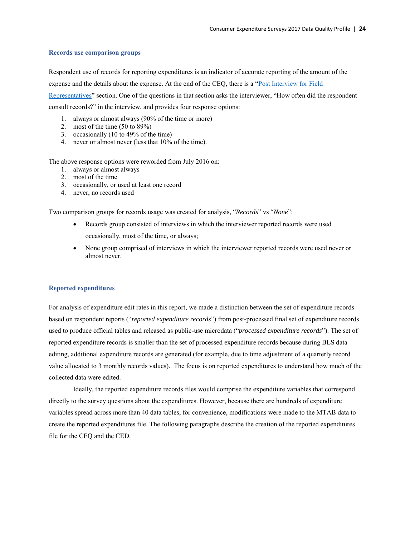## <span id="page-26-0"></span>**Records use comparison groups**

Respondent use of records for reporting expenditures is an indicator of accurate reporting of the amount of the expense and the details about the expense. At the end of the CEQ, there is a ["Post Interview for Field](https://www.bls.gov/cex/capi/2015/csxback1a.htm)  [Representatives"](https://www.bls.gov/cex/capi/2015/csxback1a.htm) section. One of the questions in that section asks the interviewer, "How often did the respondent consult records?" in the interview, and provides four response options:

- 1. always or almost always (90% of the time or more)
- 2. most of the time (50 to 89%)
- 3. occasionally (10 to 49% of the time)
- 4. never or almost never (less that 10% of the time).

The above response options were reworded from July 2016 on:

- 1. always or almost always
- 2. most of the time
- 3. occasionally, or used at least one record
- 4. never, no records used

Two comparison groups for records usage was created for analysis, "*Records*" vs "*None*":

- Records group consisted of interviews in which the interviewer reported records were used occasionally, most of the time, or always;
- None group comprised of interviews in which the interviewer reported records were used never or almost never.

## <span id="page-26-1"></span>**Reported expenditures**

For analysis of expenditure edit rates in this report, we made a distinction between the set of expenditure records based on respondent reports ("*reported expenditure records*") from post-processed final set of expenditure records used to produce official tables and released as public-use microdata ("*processed expenditure records*"). The set of reported expenditure records is smaller than the set of processed expenditure records because during BLS data editing, additional expenditure records are generated (for example, due to time adjustment of a quarterly record value allocated to 3 monthly records values). The focus is on reported expenditures to understand how much of the collected data were edited.

Ideally, the reported expenditure records files would comprise the expenditure variables that correspond directly to the survey questions about the expenditures. However, because there are hundreds of expenditure variables spread across more than 40 data tables, for convenience, modifications were made to the MTAB data to create the reported expenditures file. The following paragraphs describe the creation of the reported expenditures file for the CEQ and the CED.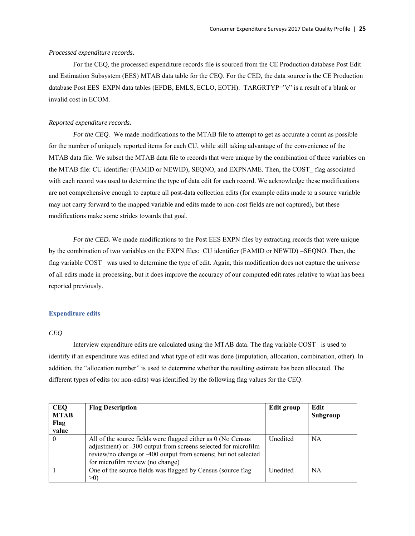## *Processed expenditure records.*

For the CEQ*,* the processed expenditure records file is sourced from the CE Production database Post Edit and Estimation Subsystem (EES) MTAB data table for the CEQ. For the CED*,* the data source is the CE Production database Post EES EXPN data tables (EFDB, EMLS, ECLO, EOTH). TARGRTYP="c" is a result of a blank or invalid cost in ECOM.

## *Reported expenditure records.*

*For the CEQ.* We made modifications to the MTAB file to attempt to get as accurate a count as possible for the number of uniquely reported items for each CU, while still taking advantage of the convenience of the MTAB data file. We subset the MTAB data file to records that were unique by the combination of three variables on the MTAB file: CU identifier (FAMID or NEWID), SEQNO, and EXPNAME. Then, the COST\_ flag associated with each record was used to determine the type of data edit for each record. We acknowledge these modifications are not comprehensive enough to capture all post-data collection edits (for example edits made to a source variable may not carry forward to the mapped variable and edits made to non-cost fields are not captured), but these modifications make some strides towards that goal.

*For the CED.* We made modifications to the Post EES EXPN files by extracting records that were unique by the combination of two variables on the EXPN files: CU identifier (FAMID or NEWID) –SEQNO. Then, the flag variable COST was used to determine the type of edit. Again, this modification does not capture the universe of all edits made in processing, but it does improve the accuracy of our computed edit rates relative to what has been reported previously.

## <span id="page-27-0"></span>**Expenditure edits**

#### *CEQ*

 Interview expenditure edits are calculated using the MTAB data. The flag variable COST\_ is used to identify if an expenditure was edited and what type of edit was done (imputation, allocation, combination, other). In addition, the "allocation number" is used to determine whether the resulting estimate has been allocated. The different types of edits (or non-edits) was identified by the following flag values for the CEQ:

| <b>CEQ</b><br><b>MTAB</b><br>Flag<br>value | <b>Flag Description</b>                                                                                                                                                                                                              | Edit group | Edit<br>Subgroup |
|--------------------------------------------|--------------------------------------------------------------------------------------------------------------------------------------------------------------------------------------------------------------------------------------|------------|------------------|
| $\theta$                                   | All of the source fields were flagged either as 0 (No Census<br>adjustment) or -300 output from screens selected for microfilm<br>review/no change or -400 output from screens; but not selected<br>for microfilm review (no change) | Unedited   | <b>NA</b>        |
|                                            | One of the source fields was flagged by Census (source flag)<br>>0                                                                                                                                                                   | Unedited   | <b>NA</b>        |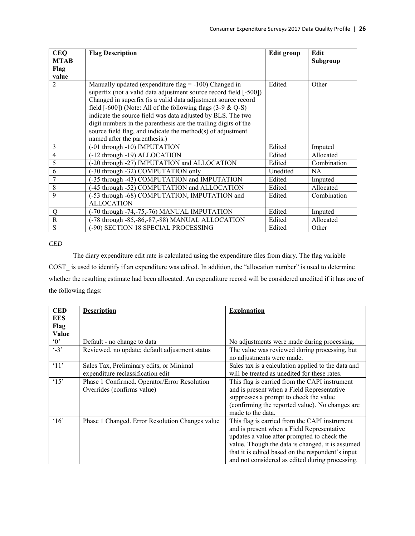| <b>CEQ</b><br><b>MTAB</b> | <b>Flag Description</b>                                           | Edit group | Edit<br>Subgroup |
|---------------------------|-------------------------------------------------------------------|------------|------------------|
| Flag                      |                                                                   |            |                  |
| value                     |                                                                   |            |                  |
| $\overline{2}$            | Manually updated (expenditure flag $= -100$ ) Changed in          | Edited     | Other            |
|                           | superfix (not a valid data adjustment source record field [-500]) |            |                  |
|                           | Changed in superfix (is a valid data adjustment source record     |            |                  |
|                           | field $[-600]$ ) (Note: All of the following flags $(3-9 \& Q-S)$ |            |                  |
|                           | indicate the source field was data adjusted by BLS. The two       |            |                  |
|                           | digit numbers in the parenthesis are the trailing digits of the   |            |                  |
|                           | source field flag, and indicate the method(s) of adjustment       |            |                  |
|                           | named after the parenthesis.)                                     |            |                  |
| 3                         | (-01 through -10) IMPUTATION                                      | Edited     | Imputed          |
| $\overline{4}$            | (-12 through -19) ALLOCATION                                      | Edited     | Allocated        |
| 5                         | -20 through -27) IMPUTATION and ALLOCATION                        | Edited     | Combination      |
| 6                         | (-30 through -32) COMPUTATION only                                | Unedited   | <b>NA</b>        |
| 7                         | -35 through -43) COMPUTATION and IMPUTATION                       | Edited     | Imputed          |
| 8                         | -45 through -52) COMPUTATION and ALLOCATION                       | Edited     | Allocated        |
| 9                         | (-53 through -68) COMPUTATION, IMPUTATION and                     | Edited     | Combination      |
|                           | <b>ALLOCATION</b>                                                 |            |                  |
| $\mathbf Q$               | -70 through -74,-75,-76) MANUAL IMPUTATION                        | Edited     | Imputed          |
| $\mathbf R$               | -78 through -85,-86,-87,-88) MANUAL ALLOCATION                    | Edited     | Allocated        |
| S                         | -90) SECTION 18 SPECIAL PROCESSING                                | Edited     | Other            |

*CED* 

 The diary expenditure edit rate is calculated using the expenditure files from diary. The flag variable COST\_ is used to identify if an expenditure was edited. In addition, the "allocation number" is used to determine whether the resulting estimate had been allocated. An expenditure record will be considered unedited if it has one of the following flags:

| <b>CED</b>          | <b>Description</b>                                                            | <b>Explanation</b>                                                                                                                                                                                                                                                                                     |
|---------------------|-------------------------------------------------------------------------------|--------------------------------------------------------------------------------------------------------------------------------------------------------------------------------------------------------------------------------------------------------------------------------------------------------|
| <b>EES</b>          |                                                                               |                                                                                                                                                                                                                                                                                                        |
| Flag                |                                                                               |                                                                                                                                                                                                                                                                                                        |
| Value               |                                                                               |                                                                                                                                                                                                                                                                                                        |
| $^{\circ}0^{\circ}$ | Default - no change to data                                                   | No adjustments were made during processing.                                                                                                                                                                                                                                                            |
| $\cdot$ 3'          | Reviewed, no update; default adjustment status                                | The value was reviewed during processing, but<br>no adjustments were made.                                                                                                                                                                                                                             |
| $^{\circ}11'$       | Sales Tax, Preliminary edits, or Minimal<br>expenditure reclassification edit | Sales tax is a calculation applied to the data and<br>will be treated as unedited for these rates.                                                                                                                                                                                                     |
| $^{\circ}15$        | Phase 1 Confirmed. Operator/Error Resolution<br>Overrides (confirms value)    | This flag is carried from the CAPI instrument<br>and is present when a Field Representative<br>suppresses a prompt to check the value<br>(confirming the reported value). No changes are<br>made to the data.                                                                                          |
| $^{\circ}16$        | Phase 1 Changed. Error Resolution Changes value                               | This flag is carried from the CAPI instrument<br>and is present when a Field Representative<br>updates a value after prompted to check the<br>value. Though the data is changed, it is assumed<br>that it is edited based on the respondent's input<br>and not considered as edited during processing. |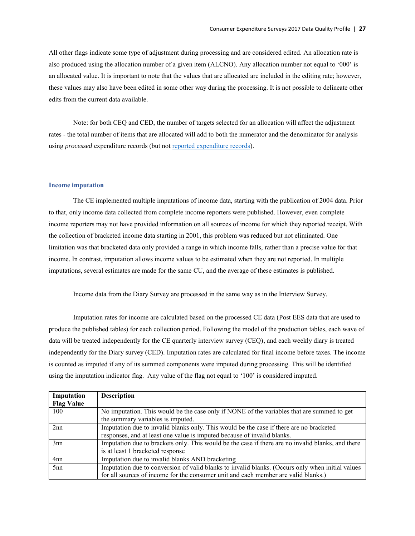All other flags indicate some type of adjustment during processing and are considered edited. An allocation rate is also produced using the allocation number of a given item (ALCNO). Any allocation number not equal to '000' is an allocated value. It is important to note that the values that are allocated are included in the editing rate; however, these values may also have been edited in some other way during the processing. It is not possible to delineate other edits from the current data available.

Note: for both CEQ and CED, the number of targets selected for an allocation will affect the adjustment rates - the total number of items that are allocated will add to both the numerator and the denominator for analysis using *processed* expenditure records (but not [reported expenditure records\)](#page-26-1).

## <span id="page-29-1"></span><span id="page-29-0"></span>**Income imputation**

 The CE implemented multiple imputations of income data, starting with the publication of 2004 data. Prior to that, only income data collected from complete income reporters were published. However, even complete income reporters may not have provided information on all sources of income for which they reported receipt. With the collection of bracketed income data starting in 2001, this problem was reduced but not eliminated. One limitation was that bracketed data only provided a range in which income falls, rather than a precise value for that income. In contrast, imputation allows income values to be estimated when they are not reported. In multiple imputations, several estimates are made for the same CU, and the average of these estimates is published.

Income data from the Diary Survey are processed in the same way as in the Interview Survey.

Imputation rates for income are calculated based on the processed CE data (Post EES data that are used to produce the published tables) for each collection period. Following the model of the production tables, each wave of data will be treated independently for the CE quarterly interview survey (CEQ), and each weekly diary is treated independently for the Diary survey (CED). Imputation rates are calculated for final income before taxes. The income is counted as imputed if any of its summed components were imputed during processing. This will be identified using the imputation indicator flag. Any value of the flag not equal to '100' is considered imputed.

| Imputation        | <b>Description</b>                                                                                |
|-------------------|---------------------------------------------------------------------------------------------------|
| <b>Flag Value</b> |                                                                                                   |
| 100               | No imputation. This would be the case only if NONE of the variables that are summed to get        |
|                   | the summary variables is imputed.                                                                 |
| 2nn               | Imputation due to invalid blanks only. This would be the case if there are no bracketed           |
|                   | responses, and at least one value is imputed because of invalid blanks.                           |
| 3nn               | Imputation due to brackets only. This would be the case if there are no invalid blanks, and there |
|                   | is at least 1 bracketed response                                                                  |
| 4nn               | Imputation due to invalid blanks AND bracketing                                                   |
| 5 <sub>nn</sub>   | Imputation due to conversion of valid blanks to invalid blanks. (Occurs only when initial values  |
|                   | for all sources of income for the consumer unit and each member are valid blanks.)                |